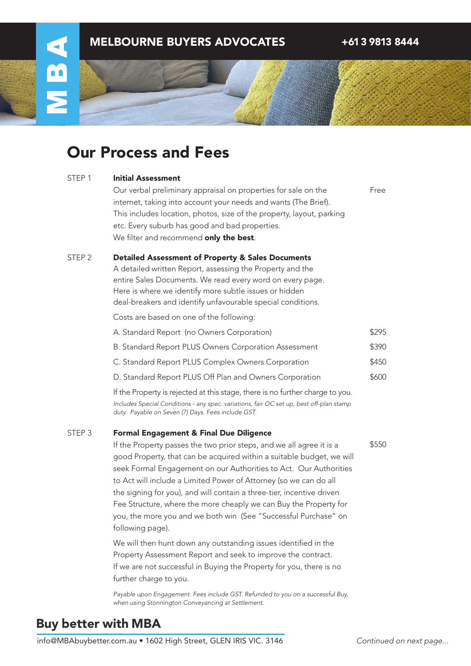

# Our Process and Fees

| STEP 1 | <b>Initial Assessment</b> |
|--------|---------------------------|
|        |                           |

Our verbal preliminary appraisal on properties for sale on the internet, taking into account your needs and wants (The Brief). This includes location, photos, size of the property, layout, parking etc. Every suburb has good and bad properties. We filter and recommend only the best.

Free

\$550

### Detailed Assessment of Property & Sales Documents STEP 2

A detailed written Report, assessing the Property and the entire Sales Documents. We read every word on every page. Here is where we identify more subtle issues or hidden deal-breakers and identify unfavourable special conditions.

Costs are based on one of the following:

| A. Standard Report (no Owners Corporation)                                    | \$295 |
|-------------------------------------------------------------------------------|-------|
| B. Standard Report PLUS Owners Corporation Assessment                         | \$390 |
| C. Standard Report PLUS Complex Owners Corporation                            | \$450 |
| D. Standard Report PLUS Off Plan and Owners Corporation                       | \$600 |
| If the Property is rejected at this stage, there is no further charge to you. |       |

*Includes Special Conditions - any spec. variations, fair OC set up, best off-plan stamp duty. Payable on Seven (7) Days. Fees include GST.*

### Formal Engagement & Final Due Diligence STEP 3

If the Property passes the two prior steps, and we all agree it is a good Property, that can be acquired within a suitable budget, we will seek Formal Engagement on our Authorities to Act. Our Authorities to Act will include a Limited Power of Attorney (so we can do all the signing for you), and will contain a three-tier, incentive driven Fee Structure, where the more cheaply we can Buy the Property for you, the more you and we both win (See "Successful Purchase" on following page).

We will then hunt down any outstanding issues identified in the Property Assessment Report and seek to improve the contract. If we are not successful in Buying the Property for you, there is no further charge to you.

*Payable upon Engagement. Fees include GST. Refunded to you on a successful Buy, when using Stonnington Conveyancing at Settlement.*

### Buy better with MBA